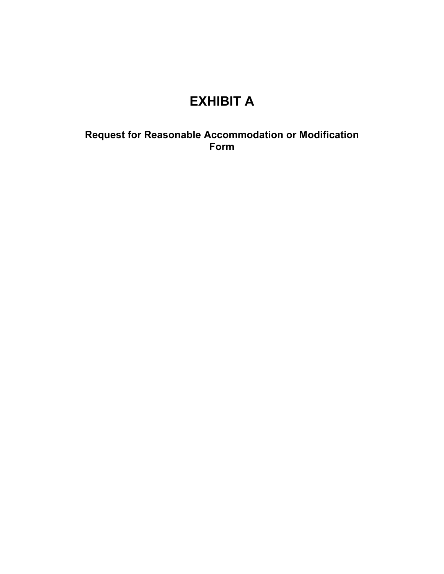# **EXHIBIT A**

**Request for Reasonable Accommodation or Modification Form**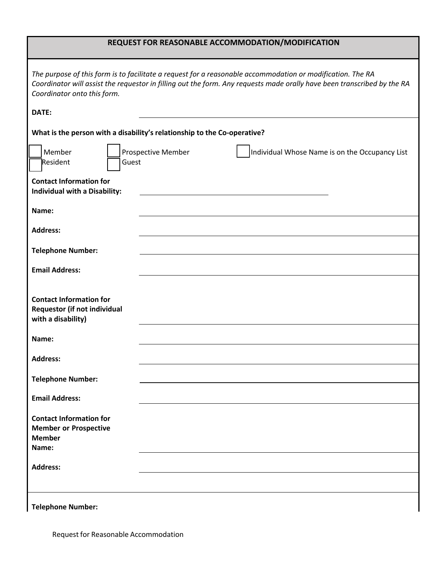### **REQUEST FOR REASONABLE ACCOMMODATION/MODIFICATION**

| The purpose of this form is to facilitate a request for a reasonable accommodation or modification. The RA<br>Coordinator will assist the requestor in filling out the form. Any requests made orally have been transcribed by the RA<br>Coordinator onto this form. |  |  |  |  |
|----------------------------------------------------------------------------------------------------------------------------------------------------------------------------------------------------------------------------------------------------------------------|--|--|--|--|
| DATE:                                                                                                                                                                                                                                                                |  |  |  |  |
| What is the person with a disability's relationship to the Co-operative?                                                                                                                                                                                             |  |  |  |  |
| Member<br>Prospective Member<br>Individual Whose Name is on the Occupancy List<br><b>Resident</b><br>Guest                                                                                                                                                           |  |  |  |  |
| <b>Contact Information for</b><br>Individual with a Disability:                                                                                                                                                                                                      |  |  |  |  |
| Name:                                                                                                                                                                                                                                                                |  |  |  |  |
| <b>Address:</b>                                                                                                                                                                                                                                                      |  |  |  |  |
| <b>Telephone Number:</b>                                                                                                                                                                                                                                             |  |  |  |  |
| <b>Email Address:</b>                                                                                                                                                                                                                                                |  |  |  |  |
| <b>Contact Information for</b><br><b>Requestor (if not individual</b><br>with a disability)                                                                                                                                                                          |  |  |  |  |
| Name:                                                                                                                                                                                                                                                                |  |  |  |  |
| <b>Address:</b>                                                                                                                                                                                                                                                      |  |  |  |  |
| <b>Telephone Number:</b>                                                                                                                                                                                                                                             |  |  |  |  |
| <b>Email Address:</b>                                                                                                                                                                                                                                                |  |  |  |  |
| <b>Contact Information for</b><br><b>Member or Prospective</b><br><b>Member</b><br>Name:                                                                                                                                                                             |  |  |  |  |
| <b>Address:</b>                                                                                                                                                                                                                                                      |  |  |  |  |
| <b>Telephone Number:</b>                                                                                                                                                                                                                                             |  |  |  |  |

**Telephone Number:**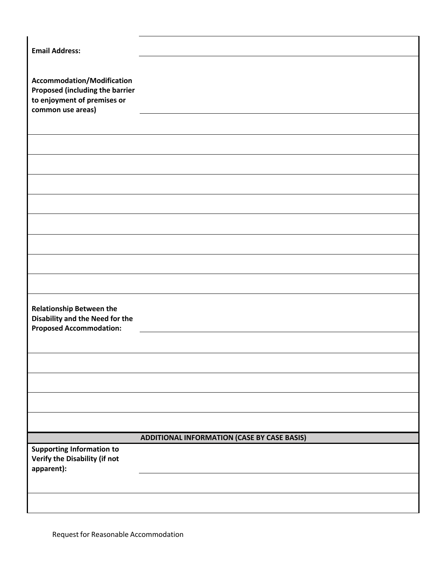| <b>Email Address:</b>                                                                                                           |                                                    |
|---------------------------------------------------------------------------------------------------------------------------------|----------------------------------------------------|
| <b>Accommodation/Modification</b><br><b>Proposed (including the barrier</b><br>to enjoyment of premises or<br>common use areas) |                                                    |
|                                                                                                                                 |                                                    |
|                                                                                                                                 |                                                    |
|                                                                                                                                 |                                                    |
|                                                                                                                                 |                                                    |
|                                                                                                                                 |                                                    |
|                                                                                                                                 |                                                    |
|                                                                                                                                 |                                                    |
|                                                                                                                                 |                                                    |
| <b>Relationship Between the</b><br><b>Disability and the Need for the</b><br><b>Proposed Accommodation:</b>                     |                                                    |
|                                                                                                                                 |                                                    |
|                                                                                                                                 |                                                    |
|                                                                                                                                 |                                                    |
|                                                                                                                                 |                                                    |
|                                                                                                                                 |                                                    |
|                                                                                                                                 | <b>ADDITIONAL INFORMATION (CASE BY CASE BASIS)</b> |
| <b>Supporting Information to</b><br>Verify the Disability (if not<br>apparent):                                                 |                                                    |
|                                                                                                                                 |                                                    |
|                                                                                                                                 |                                                    |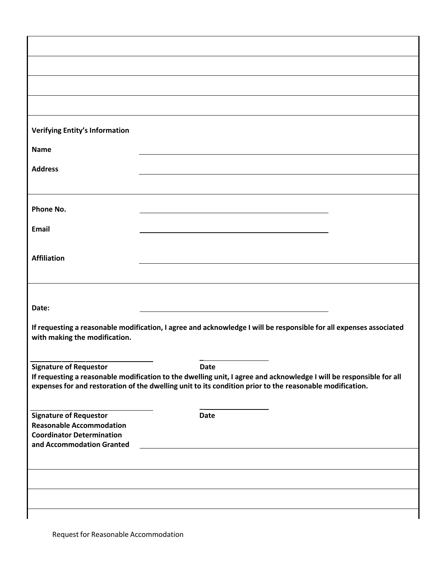| Verifying Entity's Information                                                                                                                                                                                                  |             |  |  |  |
|---------------------------------------------------------------------------------------------------------------------------------------------------------------------------------------------------------------------------------|-------------|--|--|--|
| <b>Name</b>                                                                                                                                                                                                                     |             |  |  |  |
| <b>Address</b>                                                                                                                                                                                                                  |             |  |  |  |
|                                                                                                                                                                                                                                 |             |  |  |  |
| Phone No.                                                                                                                                                                                                                       |             |  |  |  |
|                                                                                                                                                                                                                                 |             |  |  |  |
| Email                                                                                                                                                                                                                           |             |  |  |  |
| <b>Affiliation</b>                                                                                                                                                                                                              |             |  |  |  |
|                                                                                                                                                                                                                                 |             |  |  |  |
|                                                                                                                                                                                                                                 |             |  |  |  |
| Date:                                                                                                                                                                                                                           |             |  |  |  |
| If requesting a reasonable modification, I agree and acknowledge I will be responsible for all expenses associated<br>with making the modification.                                                                             |             |  |  |  |
| <b>Signature of Requestor</b>                                                                                                                                                                                                   | <b>Date</b> |  |  |  |
| If requesting a reasonable modification to the dwelling unit, I agree and acknowledge I will be responsible for all<br>expenses for and restoration of the dwelling unit to its condition prior to the reasonable modification. |             |  |  |  |
| <b>Signature of Requestor</b>                                                                                                                                                                                                   | <b>Date</b> |  |  |  |
| <b>Reasonable Accommodation</b>                                                                                                                                                                                                 |             |  |  |  |
| <b>Coordinator Determination</b><br>and Accommodation Granted                                                                                                                                                                   |             |  |  |  |
|                                                                                                                                                                                                                                 |             |  |  |  |
|                                                                                                                                                                                                                                 |             |  |  |  |
|                                                                                                                                                                                                                                 |             |  |  |  |
|                                                                                                                                                                                                                                 |             |  |  |  |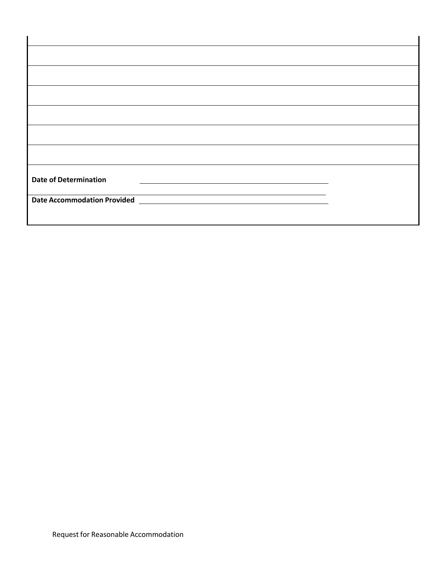| <b>Date of Determination</b> |  |
|------------------------------|--|
|                              |  |
|                              |  |
|                              |  |
|                              |  |
|                              |  |
|                              |  |
|                              |  |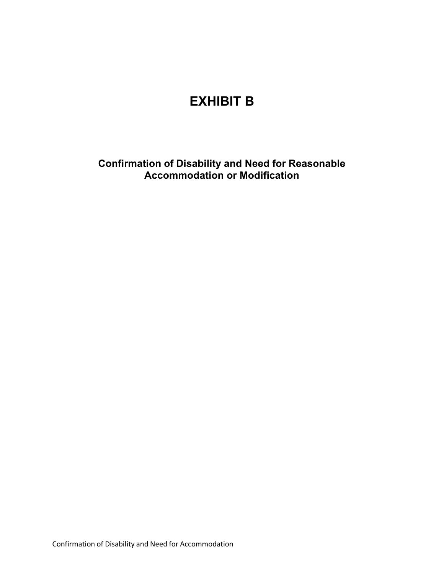# **EXHIBIT B**

**Confirmation of Disability and Need for Reasonable Accommodation or Modification**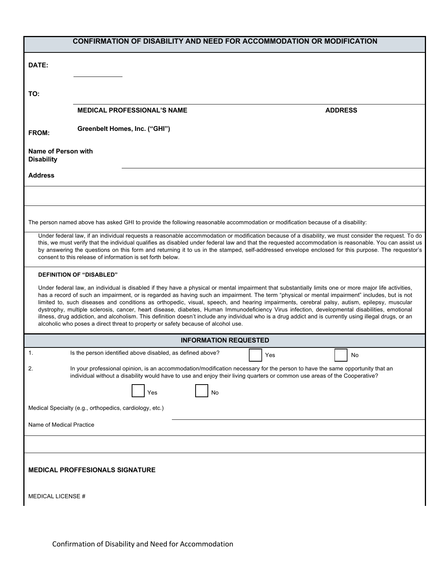| <b>CONFIRMATION OF DISABILITY AND NEED FOR ACCOMMODATION OR MODIFICATION</b>                                                                                                                                                                                                                                                                                                                                                                                                                                                                                                                                                                                                                                                                                                                                                                              |                |  |  |
|-----------------------------------------------------------------------------------------------------------------------------------------------------------------------------------------------------------------------------------------------------------------------------------------------------------------------------------------------------------------------------------------------------------------------------------------------------------------------------------------------------------------------------------------------------------------------------------------------------------------------------------------------------------------------------------------------------------------------------------------------------------------------------------------------------------------------------------------------------------|----------------|--|--|
| DATE:                                                                                                                                                                                                                                                                                                                                                                                                                                                                                                                                                                                                                                                                                                                                                                                                                                                     |                |  |  |
| TO:                                                                                                                                                                                                                                                                                                                                                                                                                                                                                                                                                                                                                                                                                                                                                                                                                                                       |                |  |  |
| <b>MEDICAL PROFESSIONAL'S NAME</b>                                                                                                                                                                                                                                                                                                                                                                                                                                                                                                                                                                                                                                                                                                                                                                                                                        | <b>ADDRESS</b> |  |  |
| Greenbelt Homes, Inc. ("GHI")<br>FROM:                                                                                                                                                                                                                                                                                                                                                                                                                                                                                                                                                                                                                                                                                                                                                                                                                    |                |  |  |
| Name of Person with<br><b>Disability</b>                                                                                                                                                                                                                                                                                                                                                                                                                                                                                                                                                                                                                                                                                                                                                                                                                  |                |  |  |
| <b>Address</b>                                                                                                                                                                                                                                                                                                                                                                                                                                                                                                                                                                                                                                                                                                                                                                                                                                            |                |  |  |
|                                                                                                                                                                                                                                                                                                                                                                                                                                                                                                                                                                                                                                                                                                                                                                                                                                                           |                |  |  |
| The person named above has asked GHI to provide the following reasonable accommodation or modification because of a disability:                                                                                                                                                                                                                                                                                                                                                                                                                                                                                                                                                                                                                                                                                                                           |                |  |  |
| Under federal law, if an individual requests a reasonable accommodation or modification because of a disability, we must consider the request. To do<br>this, we must verify that the individual qualifies as disabled under federal law and that the requested accommodation is reasonable. You can assist us<br>by answering the questions on this form and returning it to us in the stamped, self-addressed envelope enclosed for this purpose. The requestor's<br>consent to this release of information is set forth below.                                                                                                                                                                                                                                                                                                                         |                |  |  |
| <b>DEFINITION OF "DISABLED"</b>                                                                                                                                                                                                                                                                                                                                                                                                                                                                                                                                                                                                                                                                                                                                                                                                                           |                |  |  |
| Under federal law, an individual is disabled if they have a physical or mental impairment that substantially limits one or more major life activities,<br>has a record of such an impairment, or is regarded as having such an impairment. The term "physical or mental impairment" includes, but is not<br>limited to, such diseases and conditions as orthopedic, visual, speech, and hearing impairments, cerebral palsy, autism, epilepsy, muscular<br>dystrophy, multiple sclerosis, cancer, heart disease, diabetes, Human Immunodeficiency Virus infection, developmental disabilities, emotional<br>illness, drug addiction, and alcoholism. This definition doesn't include any individual who is a drug addict and is currently using illegal drugs, or an<br>alcoholic who poses a direct threat to property or safety because of alcohol use. |                |  |  |
| <b>INFORMATION REQUESTED</b>                                                                                                                                                                                                                                                                                                                                                                                                                                                                                                                                                                                                                                                                                                                                                                                                                              |                |  |  |
| 1.<br>Is the person identified above disabled, as defined above?                                                                                                                                                                                                                                                                                                                                                                                                                                                                                                                                                                                                                                                                                                                                                                                          | Yes<br>No      |  |  |
| In your professional opinion, is an accommodation/modification necessary for the person to have the same opportunity that an<br>2.<br>individual without a disability would have to use and enjoy their living quarters or common use areas of the Cooperative?                                                                                                                                                                                                                                                                                                                                                                                                                                                                                                                                                                                           |                |  |  |
| No<br>Yes                                                                                                                                                                                                                                                                                                                                                                                                                                                                                                                                                                                                                                                                                                                                                                                                                                                 |                |  |  |
| Medical Specialty (e.g., orthopedics, cardiology, etc.)                                                                                                                                                                                                                                                                                                                                                                                                                                                                                                                                                                                                                                                                                                                                                                                                   |                |  |  |
| Name of Medical Practice                                                                                                                                                                                                                                                                                                                                                                                                                                                                                                                                                                                                                                                                                                                                                                                                                                  |                |  |  |
|                                                                                                                                                                                                                                                                                                                                                                                                                                                                                                                                                                                                                                                                                                                                                                                                                                                           |                |  |  |
| <b>MEDICAL PROFFESIONALS SIGNATURE</b>                                                                                                                                                                                                                                                                                                                                                                                                                                                                                                                                                                                                                                                                                                                                                                                                                    |                |  |  |
| MEDICAL LICENSE #                                                                                                                                                                                                                                                                                                                                                                                                                                                                                                                                                                                                                                                                                                                                                                                                                                         |                |  |  |
|                                                                                                                                                                                                                                                                                                                                                                                                                                                                                                                                                                                                                                                                                                                                                                                                                                                           |                |  |  |